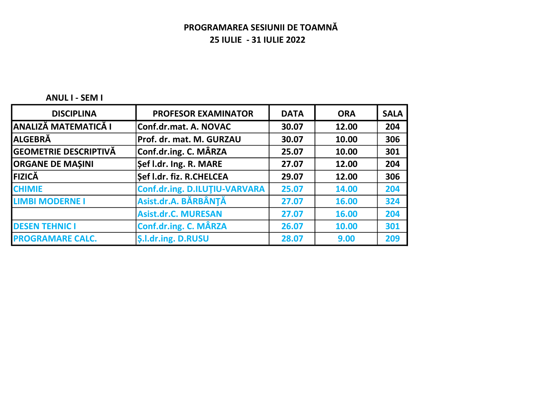#### ANUL I - SEM I

| <b>DISCIPLINA</b>            | <b>PROFESOR EXAMINATOR</b>    | <b>DATA</b> | <b>ORA</b> | <b>SALA</b> |
|------------------------------|-------------------------------|-------------|------------|-------------|
| <b>ANALIZĂ MATEMATICĂ I</b>  | Conf.dr.mat. A. NOVAC         | 30.07       | 12.00      | 204         |
| <b>ALGEBRĂ</b>               | Prof. dr. mat. M. GURZAU      | 30.07       | 10.00      | 306         |
| <b>GEOMETRIE DESCRIPTIVĂ</b> | Conf.dr.ing. C. MÂRZA         | 25.07       | 10.00      | 301         |
| <b>ORGANE DE MASINI</b>      | Sef I.dr. Ing. R. MARE        | 27.07       | 12.00      | 204         |
| FIZICĂ                       | Sef I.dr. fiz. R.CHELCEA      | 29.07       | 12.00      | 306         |
| <b>CHIMIE</b>                | Conf.dr.ing. D.ILUTIU-VARVARA | 25.07       | 14.00      | 204         |
| <b>LIMBI MODERNE I</b>       | Asist.dr.A. BĂRBÂNȚĂ          | 27.07       | 16.00      | 324         |
|                              | <b>Asist.dr.C. MURESAN</b>    | 27.07       | 16.00      | 204         |
| <b>DESEN TEHNIC I</b>        | Conf.dr.ing. C. MÂRZA         | 26.07       | 10.00      | 301         |
| <b>PROGRAMARE CALC.</b>      | <b>S.I.dr.ing. D.RUSU</b>     | 28.07       | 9.00       | 209         |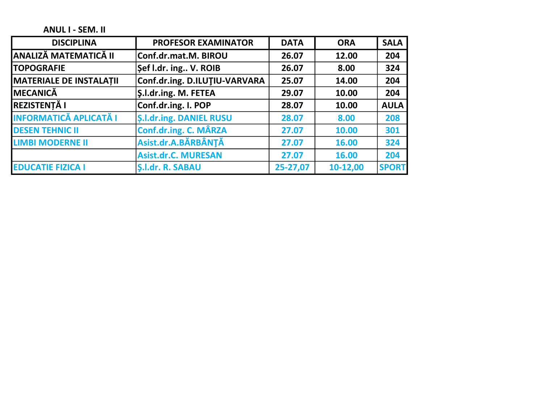ANUL I - SEM. II

| <b>DISCIPLINA</b>              | <b>PROFESOR EXAMINATOR</b>     | <b>DATA</b> | <b>ORA</b> | <b>SALA</b>  |
|--------------------------------|--------------------------------|-------------|------------|--------------|
| <b>ANALIZĂ MATEMATICĂ II</b>   | Conf.dr.mat.M. BIROU           | 26.07       | 12.00      | 204          |
| <b>TOPOGRAFIE</b>              | Sef I.dr. ing V. ROIB          | 26.07       | 8.00       | 324          |
| <b>MATERIALE DE INSTALATII</b> | Conf.dr.ing. D.ILUTIU-VARVARA  | 25.07       | 14.00      | 204          |
| MECANICĂ                       | S.I.dr.ing. M. FETEA           | 29.07       | 10.00      | 204          |
| <b>REZISTENȚĂ I</b>            | Conf.dr.ing. I. POP            | 28.07       | 10.00      | <b>AULA</b>  |
| <b>INFORMATICĂ APLICATĂ I</b>  | <b>S.I.dr.ing. DANIEL RUSU</b> | 28.07       | 8.00       | 208          |
| <b>DESEN TEHNIC II</b>         | Conf.dr.ing. C. MÂRZA          | 27.07       | 10.00      | 301          |
| <b>LIMBI MODERNE II</b>        | Asist.dr.A.BĂRBÂNȚĂ            | 27.07       | 16.00      | 324          |
|                                | <b>Asist.dr.C. MURESAN</b>     | 27.07       | 16.00      | 204          |
| <b>EDUCATIE FIZICA I</b>       | S.I.dr. R. SABAU               | 25-27,07    | 10-12,00   | <b>SPORT</b> |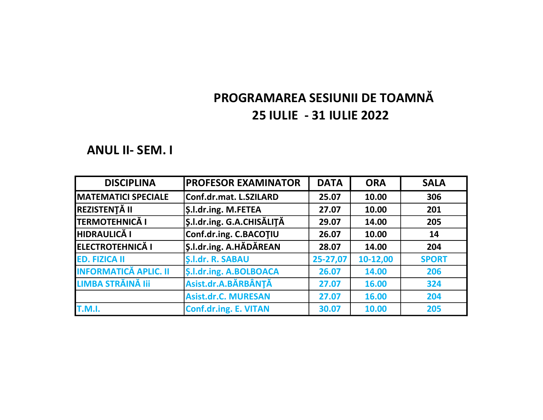### ANUL II- SEM. I

| <b>DISCIPLINA</b>            | <b>PROFESOR EXAMINATOR</b>       | <b>DATA</b>    | <b>ORA</b> | <b>SALA</b>  |
|------------------------------|----------------------------------|----------------|------------|--------------|
| <b>IMATEMATICI SPECIALE</b>  | Conf.dr.mat. L.SZILARD           | 25.07          | 10.00      | 306          |
| <b>REZISTENȚĂ II</b>         | <b>S.I.dr.ing. M.FETEA</b>       | 27.07          | 10.00      | 201          |
| <b>TERMOTEHNICĂ I</b>        | <b>S.I.dr.ing. G.A.CHISĂLITĂ</b> | 29.07          | 14.00      | 205          |
| <b>HIDRAULICĂ I</b>          | Conf.dr.ing. C.BACOTIU           | 26.07<br>10.00 |            | 14           |
| <b>ELECTROTEHNICĂ I</b>      | S.I.dr.ing. A.HĂDĂREAN           | 28.07          | 14.00      | 204          |
| <b>ED. FIZICA II</b>         | <b>S.I.dr. R. SABAU</b>          | 25-27,07       | 10-12,00   | <b>SPORT</b> |
| <b>INFORMATICĂ APLIC. II</b> | <b>S.I.dr.ing. A.BOLBOACA</b>    | 26.07          | 14.00      | 206          |
| LIMBA STRĂINĂ III            | Asist.dr.A.BĂRBÂNȚĂ              | 27.07          | 16.00      | 324          |
|                              | <b>Asist.dr.C. MURESAN</b>       | 27.07          | 16.00      | 204          |
| <b>T.M.I.</b>                | <b>Conf.dr.ing. E. VITAN</b>     | 30.07          | 10.00      | 205          |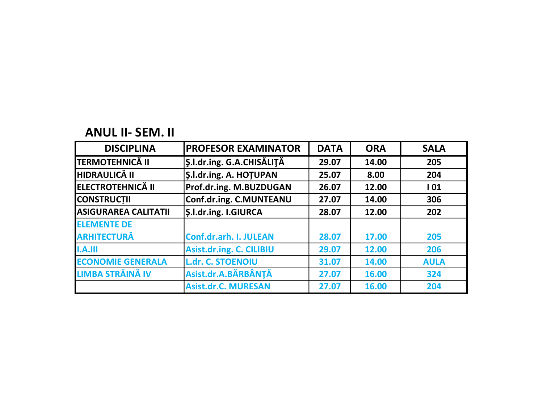# ANUL II- SEM. II

| <b>DISCIPLINA</b>           | <b>PROFESOR EXAMINATOR</b>      | <b>DATA</b> | <b>ORA</b> | <b>SALA</b> |
|-----------------------------|---------------------------------|-------------|------------|-------------|
| <b>ITERMOTEHNICĂ II</b>     | S.I.dr.ing. G.A.CHISĂLITĂ       | 29.07       | 14.00      | 205         |
| <b>HIDRAULICĂ II</b>        | <b>S.I.dr.ing. A. HOTUPAN</b>   | 25.07       | 8.00       | 204         |
| <b>ELECTROTEHNICĂ II</b>    | Prof.dr.ing. M.BUZDUGAN         | 26.07       | 12.00      | 101         |
| <b>CONSTRUCTII</b>          | Conf.dr.ing. C.MUNTEANU         | 27.07       | 14.00      | 306         |
| <b>ASIGURAREA CALITATII</b> | <b>S.I.dr.ing. I.GIURCA</b>     | 28.07       | 12.00      | 202         |
| <b>ELEMENTE DE</b>          |                                 |             |            |             |
| <b>ARHITECTURĂ</b>          | Conf.dr.arh. I. JULEAN          | 28.07       | 17.00      | 205         |
| I.A.III                     | <b>Asist.dr.ing. C. CILIBIU</b> | 29.07       | 12.00      | 206         |
| <b>ECONOMIE GENERALA</b>    | <b>L.dr. C. STOENOIU</b>        | 31.07       | 14.00      | <b>AULA</b> |
| LIMBA STRĂINĂ IV            | Asist.dr.A.BĂRBÂNȚĂ             | 27.07       | 16.00      | 324         |
|                             | <b>Asist.dr.C. MURESAN</b>      | 27.07       | 16.00      | 204         |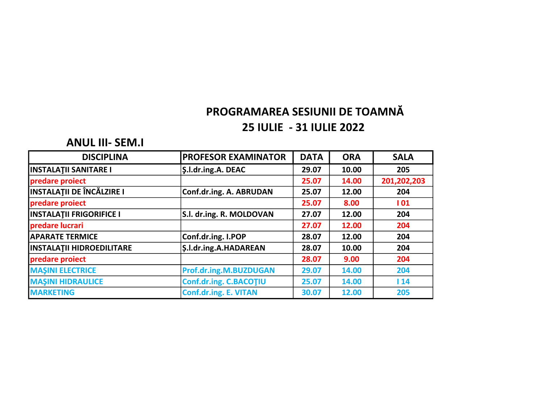#### ANUL III- SEM.I

| <b>DISCIPLINA</b>                | <b>PROFESOR EXAMINATOR</b>    | <b>DATA</b> | <b>ORA</b> | <b>SALA</b> |
|----------------------------------|-------------------------------|-------------|------------|-------------|
| <b>INSTALATII SANITARE I</b>     | <b>Ş.l.dr.ing.A. DEAC</b>     | 29.07       | 10.00      | 205         |
| predare proiect                  |                               | 25.07       | 14.00      | 201,202,203 |
| <b>INSTALAȚII DE ÎNCĂLZIRE I</b> | Conf.dr.ing. A. ABRUDAN       | 25.07       | 12.00      | 204         |
| predare proiect                  |                               | 25.07       | 8.00       | 101         |
| <b>INSTALATII FRIGORIFICE I</b>  | S.I. dr.ing. R. MOLDOVAN      | 27.07       | 12.00      | 204         |
| predare lucrari                  |                               | 27.07       | 12.00      | 204         |
| <b>APARATE TERMICE</b>           | Conf.dr.ing. I.POP            | 28.07       | 12.00      | 204         |
| <b>INSTALATII HIDROEDILITARE</b> | <b>\$.l.dr.ing.A.HADAREAN</b> | 28.07       | 10.00      | 204         |
| predare proiect                  |                               | 28.07       | 9.00       | 204         |
| <b>MAŞINI ELECTRICE</b>          | Prof.dr.ing.M.BUZDUGAN        | 29.07       | 14.00      | 204         |
| <b>MAŞINI HIDRAULICE</b>         | Conf.dr.ing. C.BACOTIU        | 25.07       | 14.00      | 14          |
| <b>MARKETING</b>                 | <b>Conf.dr.ing. E. VITAN</b>  | 30.07       | 12.00      | 205         |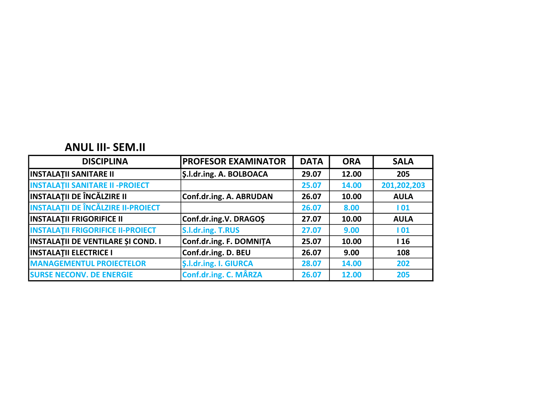### ANUL III- SEM.II

| <b>DISCIPLINA</b>                         | <b>PROFESOR EXAMINATOR</b>     | <b>DATA</b> | <b>ORA</b> | <b>SALA</b> |
|-------------------------------------------|--------------------------------|-------------|------------|-------------|
| <b>INSTALATII SANITARE II</b>             | <b>S.I.dr.ing. A. BOLBOACA</b> | 29.07       | 12.00      | 205         |
| <b>INSTALATII SANITARE II - PROIECT</b>   |                                | 25.07       | 14.00      | 201,202,203 |
| <b>INSTALAȚII DE ÎNCĂLZIRE II</b>         | Conf.dr.ing. A. ABRUDAN        | 26.07       | 10.00      | <b>AULA</b> |
| <b>INSTALAȚII DE ÎNCĂLZIRE II-PROIECT</b> |                                | 26.07       | 8.00       | 101         |
| <b>INSTALATII FRIGORIFICE II</b>          | Conf.dr.ing.V. DRAGOS          | 27.07       | 10.00      | <b>AULA</b> |
| <b>INSTALATII FRIGORIFICE II-PROIECT</b>  | S.l.dr.ing. T.RUS              | 27.07       | 9.00       | 101         |
| <b>INSTALATII DE VENTILARE ȘI COND. I</b> | Conf.dr.ing. F. DOMNITA        | 25.07       | 10.00      | 116         |
| <b>INSTALATII ELECTRICE I</b>             | Conf.dr.ing. D. BEU            | 26.07       | 9.00       | 108         |
| <b>MANAGEMENTUL PROIECTELOR</b>           | <b>S.I.dr.ing. I. GIURCA</b>   | 28.07       | 14.00      | 202         |
| <b>SURSE NECONV. DE ENERGIE</b>           | Conf.dr.ing. C. MÂRZA          | 26.07       | 12.00      | 205         |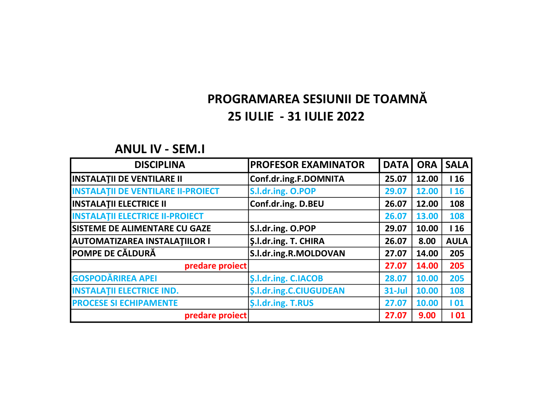### ANUL IV - SEM.I

| <b>DISCIPLINA</b>                         | <b>PROFESOR EXAMINATOR</b>     | <b>DATA</b> | <b>ORA</b> | <b>SALA</b> |
|-------------------------------------------|--------------------------------|-------------|------------|-------------|
| <b>INSTALATII DE VENTILARE II</b>         | Conf.dr.ing.F.DOMNITA          | 25.07       | 12.00      | 116         |
| <b>INSTALATII DE VENTILARE II-PROIECT</b> | S.l.dr.ing. O.POP              | 29.07       | 12.00      | 116         |
| <b>INSTALATII ELECTRICE II</b>            | Conf.dr.ing. D.BEU             | 26.07       | 12.00      | 108         |
| <b>INSTALATII ELECTRICE II-PROIECT</b>    |                                | 26.07       | 13.00      | 108         |
| <b>SISTEME DE ALIMENTARE CU GAZE</b>      | S.l.dr.ing. O.POP              | 29.07       | 10.00      | 116         |
| <b>AUTOMATIZAREA INSTALATIILOR I</b>      | <b>S.I.dr.ing. T. CHIRA</b>    | 26.07       | 8.00       | <b>AULA</b> |
| <b>POMPE DE CĂLDURĂ</b>                   | S.I.dr.ing.R.MOLDOVAN          | 27.07       | 14.00      | 205         |
| predare proiect                           |                                | 27.07       | 14.00      | 205         |
| <b>GOSPODĂRIREA APEI</b>                  | <b>S.I.dr.ing. C.IACOB</b>     | 28.07       | 10.00      | 205         |
| <b>INSTALATII ELECTRICE IND.</b>          | <b>\$.l.dr.ing.C.CIUGUDEAN</b> | $31$ -Jul   | 10.00      | 108         |
| <b>PROCESE SI ECHIPAMENTE</b>             | <b>S.I.dr.ing. T.RUS</b>       | 27.07       | 10.00      | 101         |
| predare proiect                           |                                | 27.07       | 9.00       | 101         |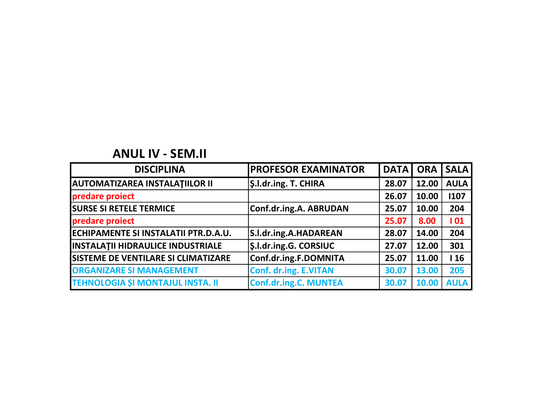## ANUL IV - SEM.II

| <b>DISCIPLINA</b>                          | <b>PROFESOR EXAMINATOR</b>   | <b>DATA</b> | <b>ORA</b> | <b>SALA</b> |
|--------------------------------------------|------------------------------|-------------|------------|-------------|
| <b>AUTOMATIZAREA INSTALATIILOR II</b>      | <b>S.I.dr.ing. T. CHIRA</b>  | 28.07       | 12.00      | <b>AULA</b> |
| predare proiect                            |                              | 26.07       | 10.00      | 1107        |
| <b>SURSE SI RETELE TERMICE</b>             | Conf.dr.ing.A. ABRUDAN       | 25.07       | 10.00      | 204         |
| predare proiect                            |                              | 25.07       | 8.00       | 101         |
| ECHIPAMENTE SI INSTALATII PTR.D.A.U.       | S.I.dr.ing.A.HADAREAN        | 28.07       | 14.00      | 204         |
| <b>INSTALATII HIDRAULICE INDUSTRIALE</b>   | <b>S.I.dr.ing.G. CORSIUC</b> | 27.07       | 12.00      | 301         |
| <b>SISTEME DE VENTILARE SI CLIMATIZARE</b> | Conf.dr.ing.F.DOMNITA        | 25.07       | 11.00      | 116         |
| <b>ORGANIZARE SI MANAGEMENT</b>            | Conf. dr.ing. E.VITAN        | 30.07       | 13.00      | 205         |
| <b>TEHNOLOGIA SI MONTAJUL INSTA. II</b>    | <b>Conf.dr.ing.C. MUNTEA</b> | 30.07       | 10.00      | <b>AULA</b> |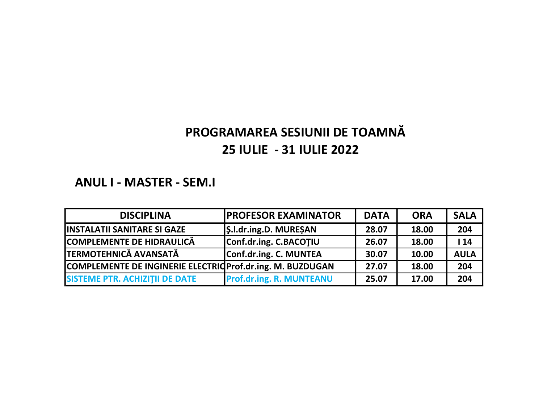### ANUL I - MASTER - SEM.I

| <b>DISCIPLINA</b>                                          | <b>IPROFESOR EXAMINATOR</b>     | <b>DATA</b> | <b>ORA</b> | <b>SALA</b> |
|------------------------------------------------------------|---------------------------------|-------------|------------|-------------|
| <b>IINSTALATII SANITARE SI GAZE</b>                        | S.I.dr.ing.D. MURESAN           | 28.07       | 18.00      | 204         |
| COMPLEMENTE DE HIDRAULICĂ                                  | Conf.dr.ing. C.BACOTIU          | 26.07       | 18.00      | 114         |
| <b>TERMOTEHNICĂ AVANSATĂ</b>                               | Conf.dr.ing. C. MUNTEA          | 30.07       | 10.00      | <b>AULA</b> |
| COMPLEMENTE DE INGINERIE ELECTRIC Prof.dr.ing. M. BUZDUGAN |                                 | 27.07       | 18.00      | 204         |
| <b>SISTEME PTR. ACHIZITII DE DATE</b>                      | <b>Prof.dr.ing. R. MUNTEANU</b> | 25.07       | 17.00      | 204         |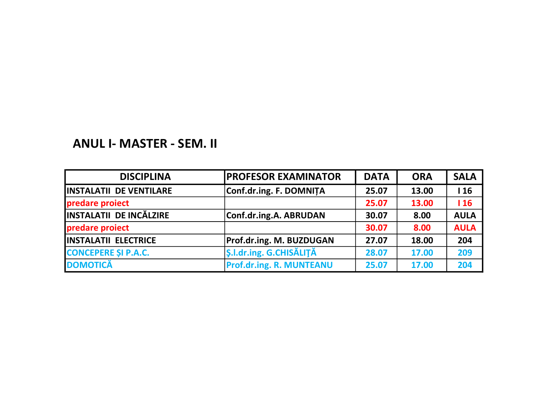## ANUL I- MASTER - SEM. II

| <b>DISCIPLINA</b>               | <b>PROFESOR EXAMINATOR</b>      | <b>DATA</b> | <b>ORA</b> | <b>SALA</b> |
|---------------------------------|---------------------------------|-------------|------------|-------------|
| <b>IINSTALATII DE VENTILARE</b> | Conf.dr.ing. F. DOMNITA         | 25.07       | 13.00      | 116         |
| predare proiect                 |                                 | 25.07       | 13.00      | 116         |
| <b>INSTALATII DE INCĂLZIRE</b>  | Conf.dr.ing.A. ABRUDAN          | 30.07       | 8.00       | <b>AULA</b> |
| predare proiect                 |                                 | 30.07       | 8.00       | <b>AULA</b> |
| <b>INSTALATII ELECTRICE</b>     | <b>Prof.dr.ing. M. BUZDUGAN</b> | 27.07       | 18.00      | 204         |
| <b>CONCEPERE SI P.A.C.</b>      | <b>S.I.dr.ing. G.CHISĂLITĂ</b>  | 28.07       | 17.00      | 209         |
| <b>DOMOTICĂ</b>                 | <b>Prof.dr.ing. R. MUNTEANU</b> | 25.07       | 17.00      | 204         |